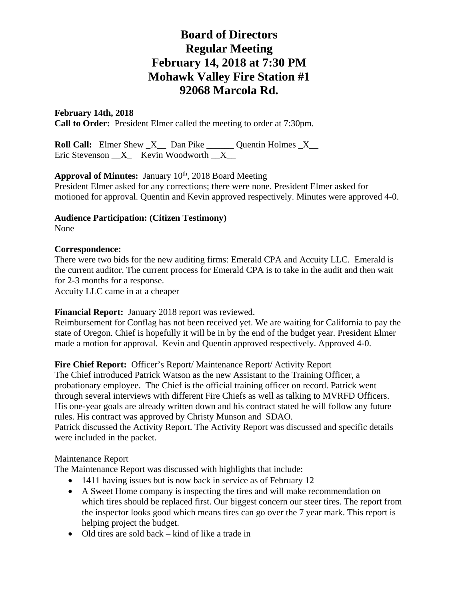# **Board of Directors Regular Meeting February 14, 2018 at 7:30 PM Mohawk Valley Fire Station #1 92068 Marcola Rd.**

## **February 14th, 2018**

**Call to Order:** President Elmer called the meeting to order at 7:30pm.

**Roll Call:** Elmer Shew  $X$  Dan Pike Quentin Holmes  $X$ Eric Stevenson  $X$  Kevin Woodworth  $X$ 

## **Approval of Minutes:** January 10<sup>th</sup>, 2018 Board Meeting

President Elmer asked for any corrections; there were none. President Elmer asked for motioned for approval. Quentin and Kevin approved respectively. Minutes were approved 4-0.

# **Audience Participation: (Citizen Testimony)**

None

### **Correspondence:**

There were two bids for the new auditing firms: Emerald CPA and Accuity LLC. Emerald is the current auditor. The current process for Emerald CPA is to take in the audit and then wait for 2-3 months for a response.

Accuity LLC came in at a cheaper

## **Financial Report:** January 2018 report was reviewed.

Reimbursement for Conflag has not been received yet. We are waiting for California to pay the state of Oregon. Chief is hopefully it will be in by the end of the budget year. President Elmer made a motion for approval. Kevin and Quentin approved respectively. Approved 4-0.

Fire Chief Report: Officer's Report/ Maintenance Report/ Activity Report The Chief introduced Patrick Watson as the new Assistant to the Training Officer, a probationary employee. The Chief is the official training officer on record. Patrick went through several interviews with different Fire Chiefs as well as talking to MVRFD Officers. His one-year goals are already written down and his contract stated he will follow any future rules. His contract was approved by Christy Munson and SDAO. Patrick discussed the Activity Report. The Activity Report was discussed and specific details were included in the packet.

## Maintenance Report

The Maintenance Report was discussed with highlights that include:

- 1411 having issues but is now back in service as of February 12
- A Sweet Home company is inspecting the tires and will make recommendation on which tires should be replaced first. Our biggest concern our steer tires. The report from the inspector looks good which means tires can go over the 7 year mark. This report is helping project the budget.
- Old tires are sold back kind of like a trade in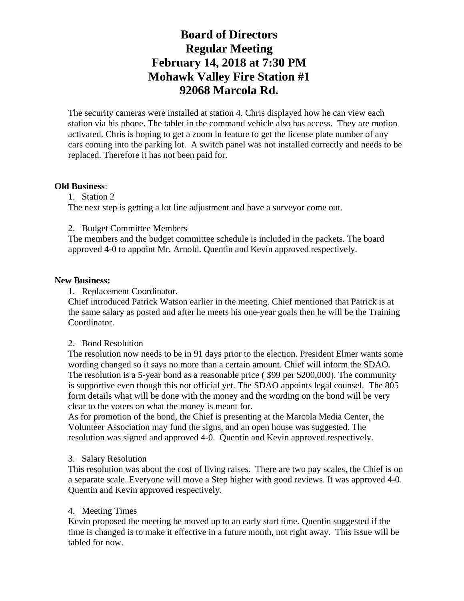# **Board of Directors Regular Meeting February 14, 2018 at 7:30 PM Mohawk Valley Fire Station #1 92068 Marcola Rd.**

The security cameras were installed at station 4. Chris displayed how he can view each station via his phone. The tablet in the command vehicle also has access. They are motion activated. Chris is hoping to get a zoom in feature to get the license plate number of any cars coming into the parking lot. A switch panel was not installed correctly and needs to be replaced. Therefore it has not been paid for.

#### **Old Business**:

1. Station 2 The next step is getting a lot line adjustment and have a surveyor come out.

2. Budget Committee Members

The members and the budget committee schedule is included in the packets. The board approved 4-0 to appoint Mr. Arnold. Quentin and Kevin approved respectively.

#### **New Business:**

1. Replacement Coordinator.

Chief introduced Patrick Watson earlier in the meeting. Chief mentioned that Patrick is at the same salary as posted and after he meets his one-year goals then he will be the Training Coordinator.

#### 2. Bond Resolution

The resolution now needs to be in 91 days prior to the election. President Elmer wants some wording changed so it says no more than a certain amount. Chief will inform the SDAO. The resolution is a 5-year bond as a reasonable price ( \$99 per \$200,000). The community is supportive even though this not official yet. The SDAO appoints legal counsel. The 805 form details what will be done with the money and the wording on the bond will be very clear to the voters on what the money is meant for.

As for promotion of the bond, the Chief is presenting at the Marcola Media Center, the Volunteer Association may fund the signs, and an open house was suggested. The resolution was signed and approved 4-0. Quentin and Kevin approved respectively.

#### 3. Salary Resolution

This resolution was about the cost of living raises. There are two pay scales, the Chief is on a separate scale. Everyone will move a Step higher with good reviews. It was approved 4-0. Quentin and Kevin approved respectively.

#### 4. Meeting Times

Kevin proposed the meeting be moved up to an early start time. Quentin suggested if the time is changed is to make it effective in a future month, not right away. This issue will be tabled for now.